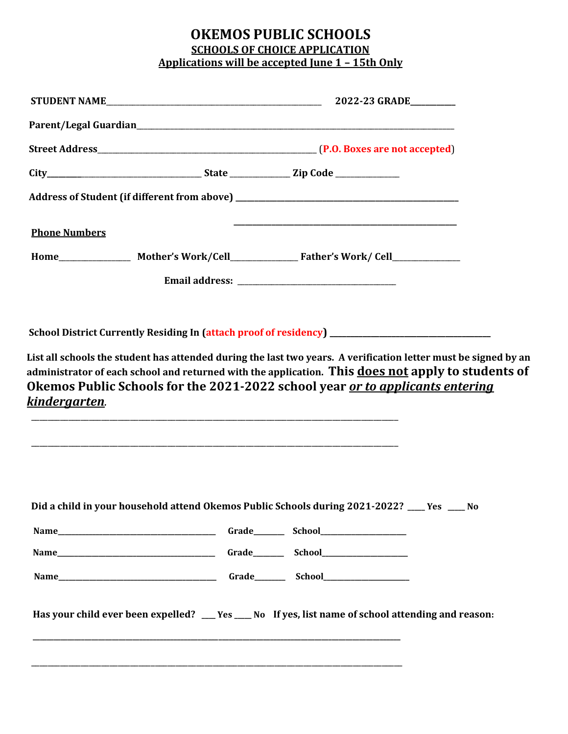## **OKEMOS PUBLIC SCHOOLS SCHOOLS OF CHOICE APPLICATION Applications will be accepted June 1 – 15th Only**

| <b>Phone Numbers</b>  |  |                                                                                                                                                                                            |  |
|-----------------------|--|--------------------------------------------------------------------------------------------------------------------------------------------------------------------------------------------|--|
|                       |  |                                                                                                                                                                                            |  |
|                       |  |                                                                                                                                                                                            |  |
| <u>kindergarten</u> . |  | administrator of each school and returned with the application. This does not apply to students of<br>Okemos Public Schools for the 2021-2022 school year <u>or to applicants entering</u> |  |
|                       |  | Did a child in your household attend Okemos Public Schools during 2021-2022? ___ Yes ___ No                                                                                                |  |
|                       |  |                                                                                                                                                                                            |  |
|                       |  |                                                                                                                                                                                            |  |
|                       |  | Has your child ever been expelled? __ Yes __ No If yes, list name of school attending and reason:                                                                                          |  |
|                       |  |                                                                                                                                                                                            |  |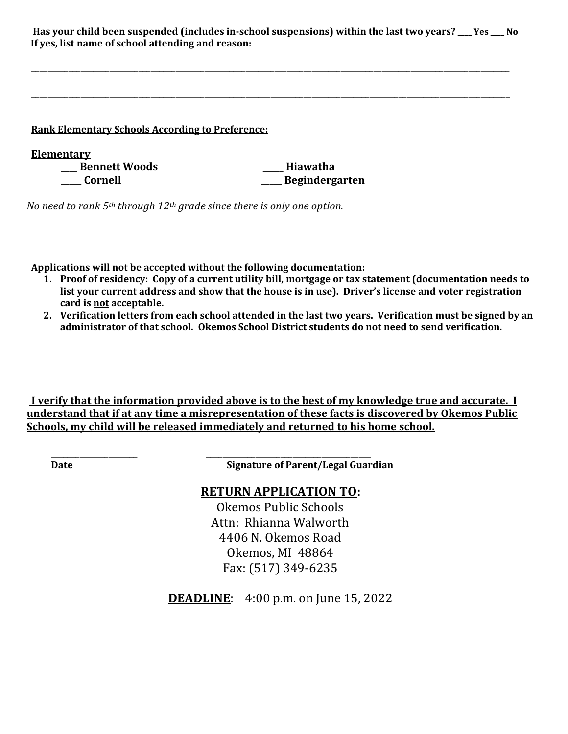| Has your child been suspended (includes in-school suspensions) within the last two years? ___ Yes ___ No |  |
|----------------------------------------------------------------------------------------------------------|--|
| If yes, list name of school attending and reason:                                                        |  |

\_\_\_\_\_\_\_\_\_\_\_\_\_\_\_\_\_\_\_\_\_\_\_\_\_\_\_\_\_\_\_\_\_\_\_\_\_\_\_\_\_\_\_\_\_\_\_\_\_\_\_\_\_\_\_\_\_\_\_\_\_\_\_\_\_\_\_\_\_\_\_\_\_\_\_\_\_\_\_\_\_\_\_\_\_\_\_\_\_\_\_\_\_\_\_\_\_\_\_\_\_\_\_\_\_\_\_\_\_\_\_\_\_\_\_\_

| <b>Rank Elementary Schools According to Preference:</b> |                |  |  |  |  |
|---------------------------------------------------------|----------------|--|--|--|--|
| <b>Elementary</b>                                       |                |  |  |  |  |
| <b>Bennett Woods</b>                                    | Hiawatha       |  |  |  |  |
| <b>Cornell</b>                                          | Begindergarten |  |  |  |  |

*No need to rank 5th through 12th grade since there is only one option.*

 **Applications will not be accepted without the following documentation:**

\_\_\_\_\_\_\_\_\_\_\_\_\_\_\_\_\_\_\_\_\_ \_\_\_\_\_\_\_\_\_\_\_\_\_\_\_\_\_\_\_\_\_\_\_\_\_\_\_\_\_\_\_\_\_\_\_\_\_\_\_\_

- **1. Proof of residency: Copy of a current utility bill, mortgage or tax statement (documentation needs to list your current address and show that the house is in use). Driver's license and voter registration card is not acceptable.**
- **2. Verification letters from each school attended in the last two years. Verification must be signed by an administrator of that school. Okemos School District students do not need to send verification.**

**I verify that the information provided above is to the best of my knowledge true and accurate. I understand that if at any time a misrepresentation of these facts is discovered by Okemos Public Schools, my child will be released immediately and returned to his home school.**

**Date Signature of Parent/Legal Guardian**

## **RETURN APPLICATION TO:**

Okemos Public Schools Attn: Rhianna Walworth 4406 N. Okemos Road Okemos, MI 48864 Fax: (517) 349-6235

**DEADLINE:** 4:00 p.m. on June 15, 2022